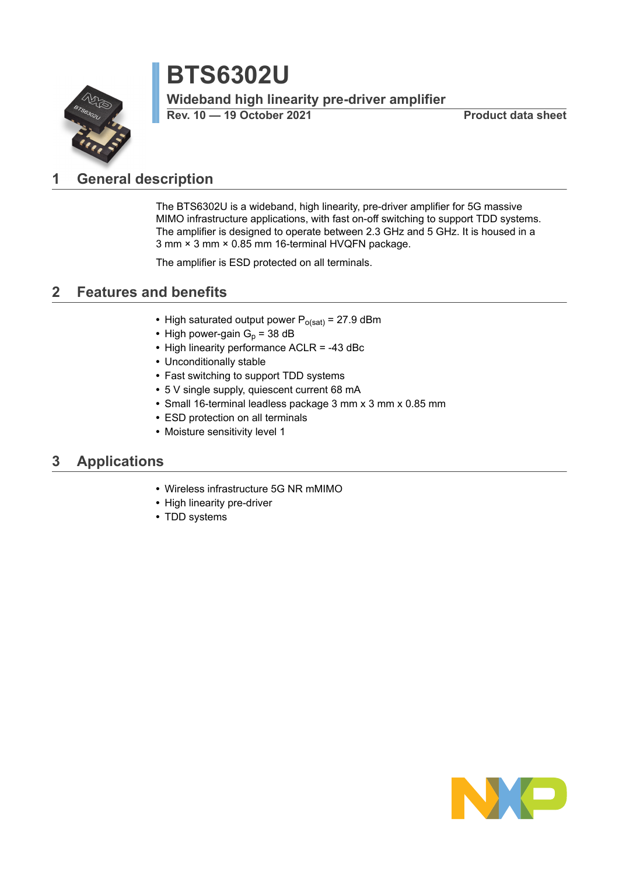# **BTS6302U**

**Wideband high linearity pre-driver amplifier**

**Rev. 10 — 19 October 2021 Product data sheet**

## <span id="page-0-0"></span>**1 General description**

The BTS6302U is a wideband, high linearity, pre-driver amplifier for 5G massive MIMO infrastructure applications, with fast on-off switching to support TDD systems. The amplifier is designed to operate between 2.3 GHz and 5 GHz. It is housed in a 3 mm × 3 mm × 0.85 mm 16-terminal HVQFN package.

The amplifier is ESD protected on all terminals.

## <span id="page-0-1"></span>**2 Features and benefits**

- High saturated output power  $P_{o(sat)} = 27.9$  dBm
- High power-gain  $G_p = 38$  dB
- **•** High linearity performance ACLR = -43 dBc
- **•** Unconditionally stable
- **•** Fast switching to support TDD systems
- **•** 5 V single supply, quiescent current 68 mA
- **•** Small 16-terminal leadless package 3 mm x 3 mm x 0.85 mm
- **•** ESD protection on all terminals
- **•** Moisture sensitivity level 1

### <span id="page-0-2"></span>**3 Applications**

- **•** Wireless infrastructure 5G NR mMIMO
- **•** High linearity pre-driver
- **•** TDD systems

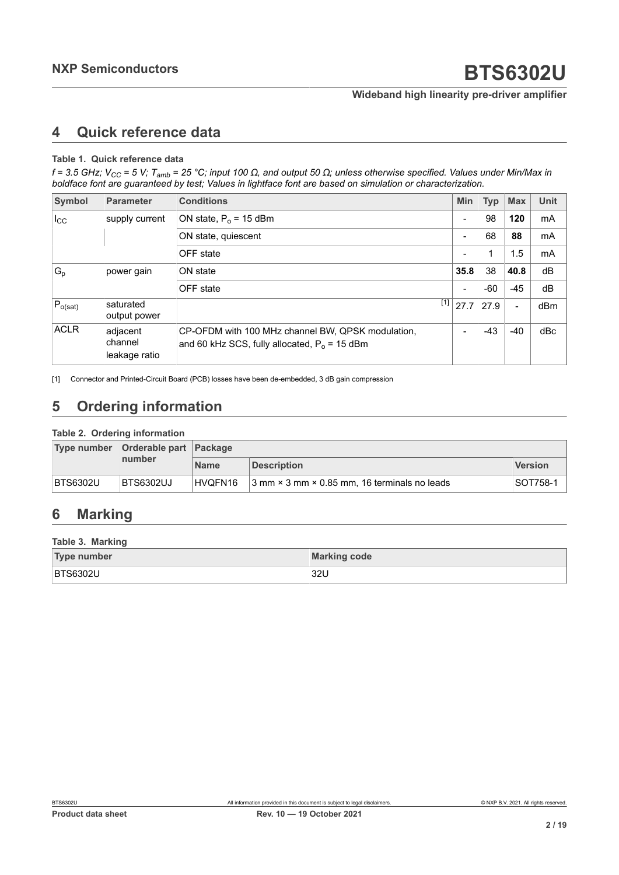### <span id="page-1-1"></span><span id="page-1-0"></span>**4 Quick reference data**

#### **Table 1. Quick reference data**

f = 3.5 GHz; V<sub>CC</sub> = 5 V; T<sub>amb</sub> = 25 °C; input 100  $\Omega$ , and output 50  $\Omega$ ; unless otherwise specified. Values under Min/Max in *boldface font are guaranteed by test; Values in lightface font are based on simulation or characterization.*

| Symbol       | <b>Parameter</b>                     | <b>Conditions</b>                                                                                    | <b>Min</b>               | <b>Typ</b>  | <b>Max</b>     | <b>Unit</b> |
|--------------|--------------------------------------|------------------------------------------------------------------------------------------------------|--------------------------|-------------|----------------|-------------|
| $I_{\rm CC}$ | supply current                       | ON state, $P_0$ = 15 dBm                                                                             | -                        | 98          | 120            | mA          |
|              |                                      | ON state, quiescent                                                                                  | $\overline{\phantom{0}}$ | 68          | 88             | mA          |
|              |                                      | OFF state                                                                                            | $\overline{\phantom{0}}$ | 1           | 1.5            | mA          |
| $G_{p}$      | power gain                           | ON state                                                                                             | 35.8                     | 38          | 40.8           | dB          |
|              |                                      | OFF state                                                                                            | $\overline{\phantom{0}}$ | $-60$       | $-45$          | dB          |
| $P_{o(sat)}$ | saturated<br>output power            | $[1]$                                                                                                |                          | $27.7$ 27.9 | $\blacksquare$ | dBm         |
| <b>ACLR</b>  | adjacent<br>channel<br>leakage ratio | CP-OFDM with 100 MHz channel BW, QPSK modulation,<br>and 60 kHz SCS, fully allocated, $P_0$ = 15 dBm | $\overline{\phantom{0}}$ | $-43$       | $-40$          | dBc         |

[1] Connector and Printed-Circuit Board (PCB) losses have been de-embedded, 3 dB gain compression

## <span id="page-1-2"></span>**5 Ordering information**

#### **Table 2. Ordering information**

|                 | Type number Orderable part Package |             |                                                              |                |
|-----------------|------------------------------------|-------------|--------------------------------------------------------------|----------------|
|                 | number                             | <b>Name</b> | <b>Description</b>                                           | <b>Version</b> |
| <b>BTS6302U</b> | BTS6302UJ                          | HVOFN16     | $3$ mm $\times$ 3 mm $\times$ 0.85 mm, 16 terminals no leads | ⊦SOT758-1      |

### <span id="page-1-3"></span>**6 Marking**

### **Table 3. Marking**

| <b>Type number</b> | <b>Marking code</b> |
|--------------------|---------------------|
| <b>BTS6302U</b>    | 32U                 |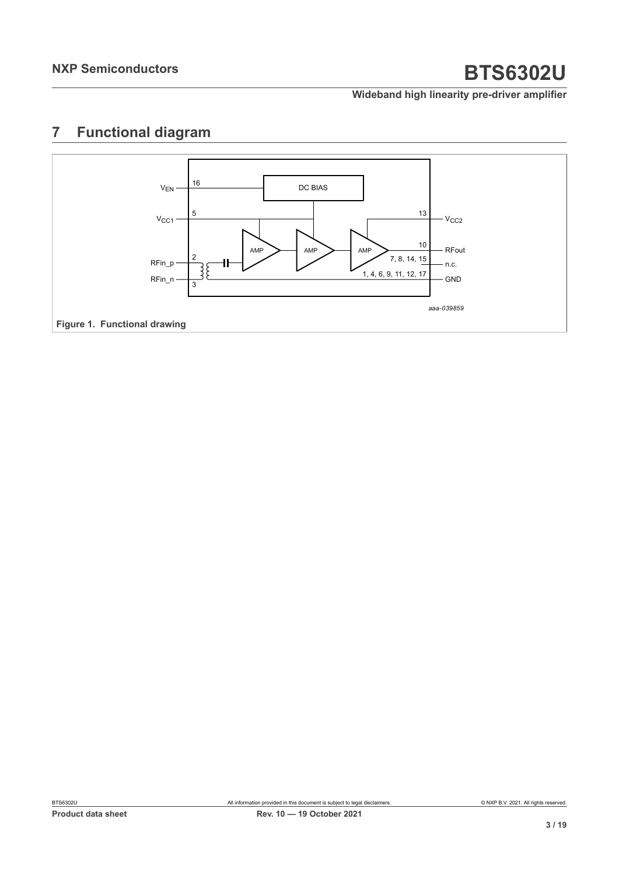### **Wideband high linearity pre-driver amplifier**

## <span id="page-2-0"></span>**7 Functional diagram**

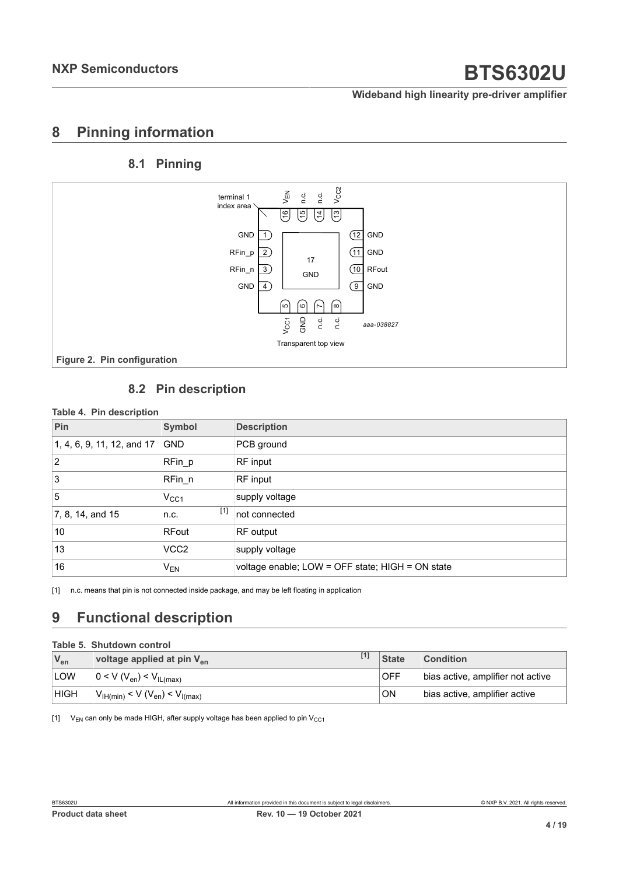### **Wideband high linearity pre-driver amplifier**

### <span id="page-3-1"></span>**8 Pinning information**

### <span id="page-3-2"></span><span id="page-3-0"></span>**8.1 Pinning**



### <span id="page-3-3"></span>**8.2 Pin description**

#### **Table 4. Pin description**

| Pin                        | <b>Symbol</b>    | <b>Description</b>                               |
|----------------------------|------------------|--------------------------------------------------|
| 1, 4, 6, 9, 11, 12, and 17 | <b>GND</b>       | PCB ground                                       |
| 2                          | $RFin_p$         | RF input                                         |
| 3                          | RFin n           | RF input                                         |
| 5                          | $V_{CC1}$        | supply voltage                                   |
| 7, 8, 14, and 15           | $[1]$<br>n.c.    | not connected                                    |
| 10                         | RFout            | RF output                                        |
| 13                         | VCC <sub>2</sub> | supply voltage                                   |
| 16                         | $V_{EN}$         | voltage enable; LOW = OFF state; HIGH = ON state |

[1] n.c. means that pin is not connected inside package, and may be left floating in application

## <span id="page-3-4"></span>**9 Functional description**

#### **Table 5. Shutdown control**

| $V_{en}$    | voltage applied at pin $V_{en}$                              | <b>State</b> | <b>Condition</b>                  |
|-------------|--------------------------------------------------------------|--------------|-----------------------------------|
| <b>LOW</b>  | $0 < V (V_{en}) < V_{IL(max)}$                               | <b>IOFF</b>  | bias active, amplifier not active |
| <b>HIGH</b> | $V_{\text{IH}(min)} < V (V_{\text{en}}) < V_{\text{I(max)}}$ | ON           | bias active, amplifier active     |

[1]  $V_{EN}$  can only be made HIGH, after supply voltage has been applied to pin  $V_{CC1}$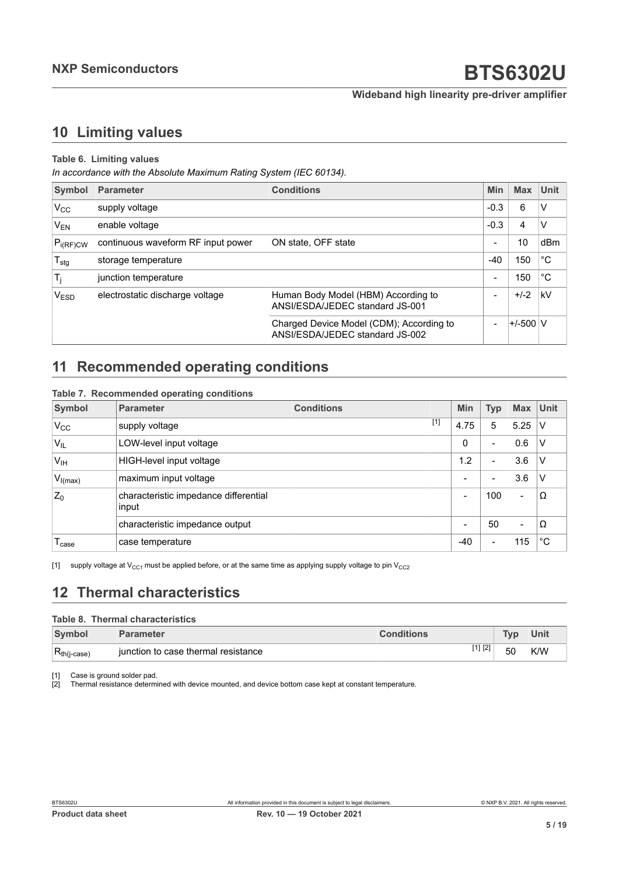## <span id="page-4-2"></span><span id="page-4-1"></span><span id="page-4-0"></span>**10 Limiting values**

### **Table 6. Limiting values**

*In accordance with the Absolute Maximum Rating System (IEC 60134).*

| <b>Symbol</b>    | <b>Parameter</b>                   | <b>Conditions</b>                                                           | Min                      | <b>Max</b>   | <b>Unit</b>  |
|------------------|------------------------------------|-----------------------------------------------------------------------------|--------------------------|--------------|--------------|
| $V_{CC}$         | supply voltage                     |                                                                             | $-0.3$                   | 6            | v            |
| $V_{EN}$         | enable voltage                     |                                                                             | $-0.3$                   | 4            | v            |
| $P_{i(RF)CW}$    | continuous waveform RF input power | ON state, OFF state                                                         | $\overline{\phantom{a}}$ | 10           | dBm          |
| $T_{\text{stg}}$ | storage temperature                |                                                                             | $-40$                    | 150          | $^{\circ}$ C |
| $T_j$            | junction temperature               |                                                                             | $\overline{\phantom{a}}$ | 150          | ∣°C          |
| V <sub>ESD</sub> | electrostatic discharge voltage    | Human Body Model (HBM) According to<br>ANSI/ESDA/JEDEC standard JS-001      | $\overline{\phantom{a}}$ | $+/-2$       | kV           |
|                  |                                    | Charged Device Model (CDM); According to<br>ANSI/ESDA/JEDEC standard JS-002 | $\blacksquare$           | $+/-500$ $V$ |              |

## <span id="page-4-3"></span>**11 Recommended operating conditions**

#### **Table 7. Recommended operating conditions**

| <b>Symbol</b>     | <b>Parameter</b>                               | <b>Conditions</b> | <b>Min</b> | <b>Typ</b>               | <b>Max</b>               | <b>Unit</b> |
|-------------------|------------------------------------------------|-------------------|------------|--------------------------|--------------------------|-------------|
| $V_{CC}$          | supply voltage                                 | $[1]$             | 4.75       | 5                        | 5.25                     | v           |
| $V_{IL}$          | LOW-level input voltage                        |                   | 0          | -                        | 0.6                      | v           |
| $V_{IH}$          | HIGH-level input voltage                       |                   | 1.2        | $\blacksquare$           | 3.6                      | V           |
| $V_{I(max)}$      | maximum input voltage                          |                   | -          | $\overline{\phantom{0}}$ | 3.6                      | V           |
| $Z_0$             | characteristic impedance differential<br>input |                   | -          | 100                      | $\overline{\phantom{a}}$ | Ω           |
|                   | characteristic impedance output                |                   | -          | 50                       | $\blacksquare$           | Ω           |
| <sup>l</sup> case | case temperature                               |                   | $-40$      | -                        | 115                      | $^{\circ}C$ |

[1] supply voltage at  $V_{CC1}$  must be applied before, or at the same time as applying supply voltage to pin  $V_{CC2}$ 

## <span id="page-4-4"></span>**12 Thermal characteristics**

### **Table 8. Thermal characteristics**

| Symbol            | <b>Parameter</b>                      | <b>Conditions</b> | <b>Tyn</b> | Unit |
|-------------------|---------------------------------------|-------------------|------------|------|
| $R_{th (j-case)}$ | ⊺iunction to case thermal resistance_ | [1] [2]           | 50         | K/W  |

[1] Case is ground solder pad.

[2] Thermal resistance determined with device mounted, and device bottom case kept at constant temperature.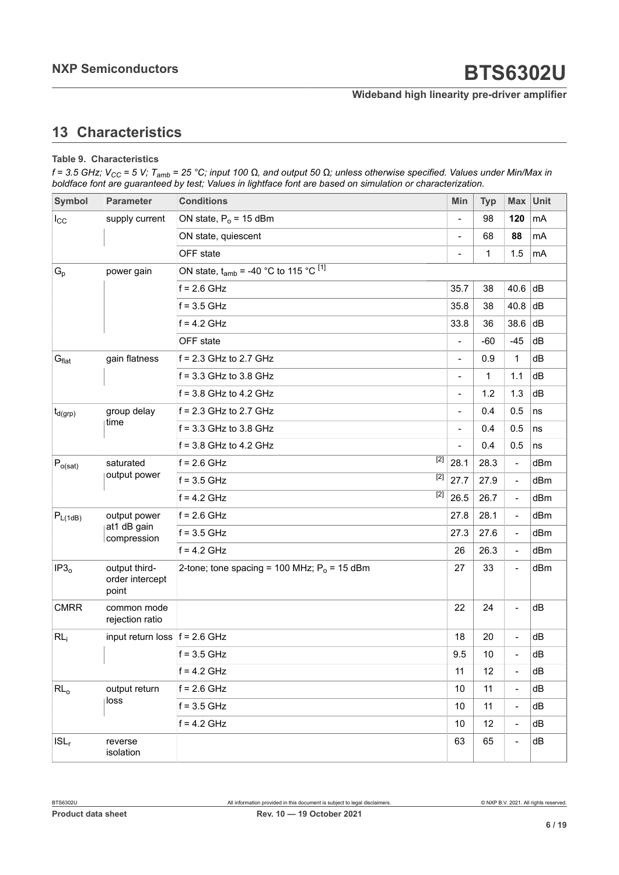## <span id="page-5-0"></span>**13 Characteristics**

#### **Table 9. Characteristics**

f = 3.5 GHz; V<sub>CC</sub> = 5 V; T<sub>amb</sub> = 25 °C; input 100  $\Omega$ , and output 50  $\Omega$ ; unless otherwise specified. Values under Min/Max in *boldface font are guaranteed by test; Values in lightface font are based on simulation or characterization.*

| Symbol            | <b>Parameter</b>                          | <b>Conditions</b>                               |                          | <b>Typ</b>   | Max Unit                     |     |
|-------------------|-------------------------------------------|-------------------------------------------------|--------------------------|--------------|------------------------------|-----|
| $I_{\rm CC}$      | supply current                            | ON state, $P_0 = 15$ dBm                        |                          | 98           | 120                          | mA  |
|                   |                                           | ON state, quiescent                             | $\blacksquare$           | 68           | 88                           | mA  |
|                   |                                           | OFF state                                       |                          | $\mathbf{1}$ | 1.5                          | mA  |
| $G_p$             | power gain                                | ON state, $t_{amb}$ = -40 °C to 115 °C $^{[1]}$ |                          |              |                              |     |
|                   |                                           | $f = 2.6$ GHz                                   | 35.7                     | 38           | 40.6                         | dB  |
|                   |                                           | $f = 3.5$ GHz                                   | 35.8                     | 38           | 40.8                         | dB  |
|                   |                                           | $f = 4.2$ GHz                                   | 33.8                     | 36           | 38.6                         | dB  |
|                   |                                           | OFF state                                       | $\overline{\phantom{a}}$ | $-60$        | $-45$                        | dB  |
| $G_{\text{flat}}$ | gain flatness                             | $f = 2.3$ GHz to 2.7 GHz                        | $\overline{\phantom{a}}$ | 0.9          | 1                            | dB  |
|                   |                                           | $f = 3.3$ GHz to 3.8 GHz                        | $\overline{\phantom{0}}$ | $\mathbf{1}$ | 1.1                          | dB  |
|                   |                                           | $f = 3.8$ GHz to 4.2 GHz                        | $\overline{\phantom{a}}$ | 1.2          | 1.3                          | dB  |
| $ t_{d(grp)} $    | group delay                               | $f = 2.3$ GHz to 2.7 GHz                        | $\blacksquare$           | 0.4          | 0.5                          | ns  |
|                   | time                                      | $f = 3.3$ GHz to 3.8 GHz                        | $\overline{\phantom{0}}$ | 0.4          | 0.5                          | ns  |
|                   |                                           | $f = 3.8$ GHz to 4.2 GHz                        |                          | 0.4          | 0.5                          | ns  |
| $P_{o(sat)}$      | saturated<br>output power                 | $[2]$<br>$f = 2.6$ GHz                          | 28.1                     | 28.3         | $\blacksquare$               | dBm |
|                   |                                           | $[2]$<br>$f = 3.5$ GHz                          | 27.7                     | 27.9         | $\frac{1}{2}$                | dBm |
|                   |                                           | $[2]$<br>$f = 4.2$ GHz                          | 26.5                     | 26.7         | $\overline{\phantom{0}}$     | dBm |
| $P_{L(1dB)}$      | output power                              | $f = 2.6$ GHz                                   | 27.8                     | 28.1         | $\overline{\phantom{a}}$     | dBm |
|                   | at1 dB gain<br>compression                | $f = 3.5$ GHz                                   | 27.3                     | 27.6         | $\overline{\phantom{0}}$     | dBm |
|                   |                                           | $f = 4.2$ GHz                                   | 26                       | 26.3         | $\frac{1}{2}$                | dBm |
| IP3 <sub>o</sub>  | output third-<br>order intercept<br>point | 2-tone; tone spacing = 100 MHz; $P_0$ = 15 dBm  | 27                       | 33           | $\overline{a}$               | dBm |
| <b>CMRR</b>       | common mode<br>rejection ratio            |                                                 | 22                       | 24           |                              | dB  |
| RL <sub>i</sub>   | input return loss $ f = 2.6$ GHz          |                                                 | 18                       | 20           |                              | dB  |
|                   |                                           | $f = 3.5$ GHz                                   | 9.5                      | 10           |                              | dB  |
|                   |                                           | $f = 4.2$ GHz                                   | 11                       | 12           | $\overline{a}$               | dB  |
| $RL_0$            | output return                             | $f = 2.6$ GHz                                   | 10                       | 11           | $\overline{\phantom{0}}$     | dB  |
|                   | loss                                      | $f = 3.5$ GHz                                   | 10                       | 11           | $\overline{a}$               | dB  |
|                   |                                           | $f = 4.2$ GHz                                   | 10                       | 12           | $\qquad \qquad \blacksquare$ | dB  |
| $ISL_r$           | reverse<br>isolation                      |                                                 |                          |              |                              | dB  |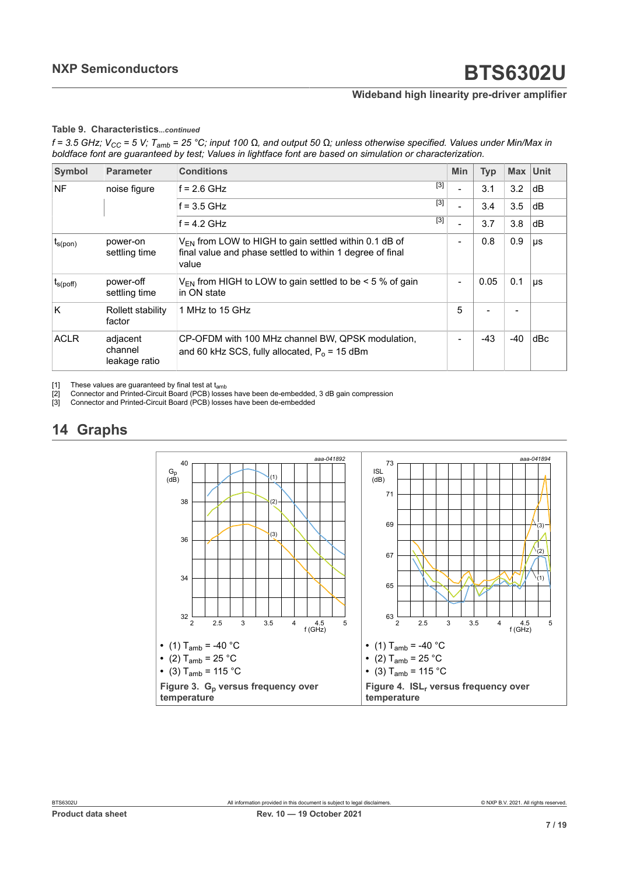#### <span id="page-6-0"></span>**Table 9. Characteristics***...continued*

<span id="page-6-2"></span><span id="page-6-1"></span>f = 3.5 GHz; V<sub>CC</sub> = 5 V; T<sub>amb</sub> = 25 °C; input 100 Ω, and output 50 Ω; unless otherwise specified. Values under Min/Max in *boldface font are guaranteed by test; Values in lightface font are based on simulation or characterization.*

| <b>Symbol</b>     | <b>Parameter</b>                     | <b>Conditions</b>                                                                                                                | Min                      | <b>Typ</b>     |       | Max Unit |
|-------------------|--------------------------------------|----------------------------------------------------------------------------------------------------------------------------------|--------------------------|----------------|-------|----------|
| <b>NF</b>         | noise figure                         | $[3]$<br>$f = 2.6$ GHz                                                                                                           |                          | 3.1            | 3.2   | dB       |
|                   |                                      | $[3]$<br>$f = 3.5$ GHz                                                                                                           | ۰                        | 3.4            | 3.5   | dB       |
|                   |                                      | $[3]$<br>$f = 4.2$ GHz                                                                                                           | $\overline{\phantom{a}}$ | 3.7            | 3.8   | dB       |
| $I_{S(pon)}$      | power-on<br>settling time            | $V_{FN}$ from LOW to HIGH to gain settled within 0.1 dB of<br>final value and phase settled to within 1 degree of final<br>value | $\overline{\phantom{a}}$ | 0.8            | 0.9   | μs       |
| $t_{\rm s(poff)}$ | power-off<br>settling time           | $V_{FN}$ from HIGH to LOW to gain settled to be $\leq 5$ % of gain<br>in ON state                                                |                          | 0.05           | 0.1   | $\mu s$  |
| K                 | Rollett stability<br>factor          | 1 MHz to 15 GHz                                                                                                                  | 5                        | $\blacksquare$ |       |          |
| <b>ACLR</b>       | adjacent<br>channel<br>leakage ratio | CP-OFDM with 100 MHz channel BW, QPSK modulation,<br>and 60 kHz SCS, fully allocated, $P_0$ = 15 dBm                             |                          | -43            | $-40$ | dBc      |

[1] These values are guaranteed by final test at t<sub>amb</sub> [2] Connector and Printed-Circuit Board (PCB) losse

<sup>22</sup> Connector and Printed-Circuit Board (PCB) losses have been de-embedded, 3 dB gain compression<br>[3] Connector and Printed-Circuit Board (PCB) losses have been de-embedded

Connector and Printed-Circuit Board (PCB) losses have been de-embedded

## <span id="page-6-3"></span>**14 Graphs**

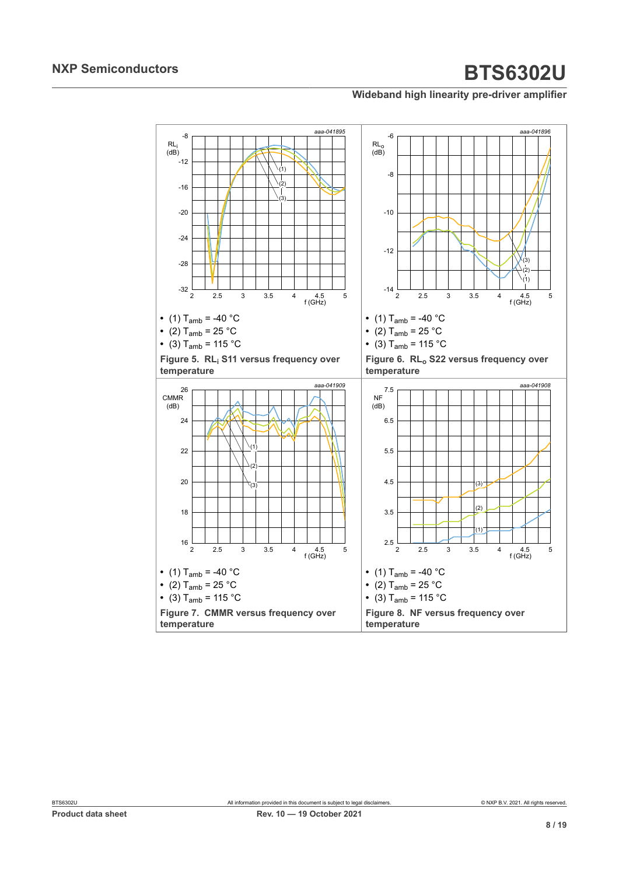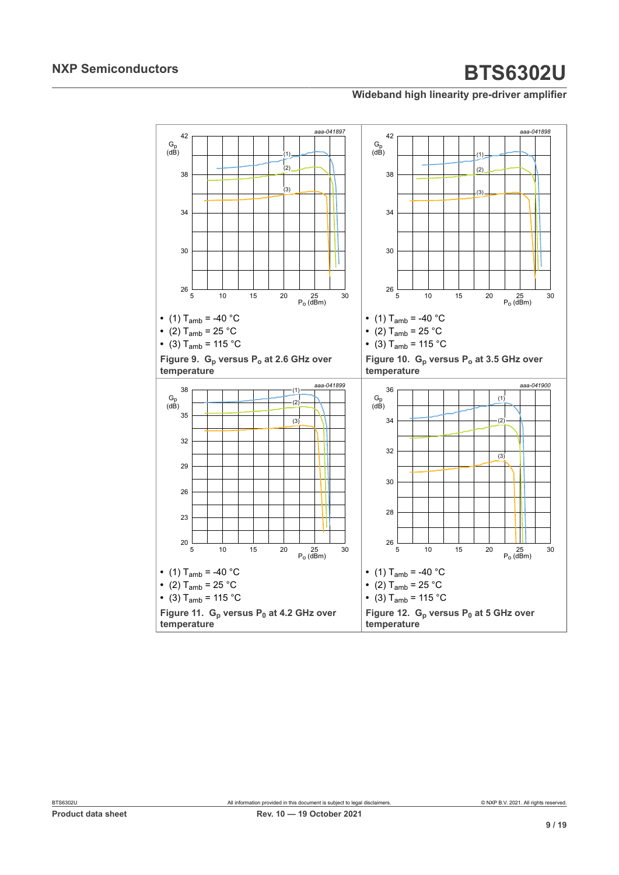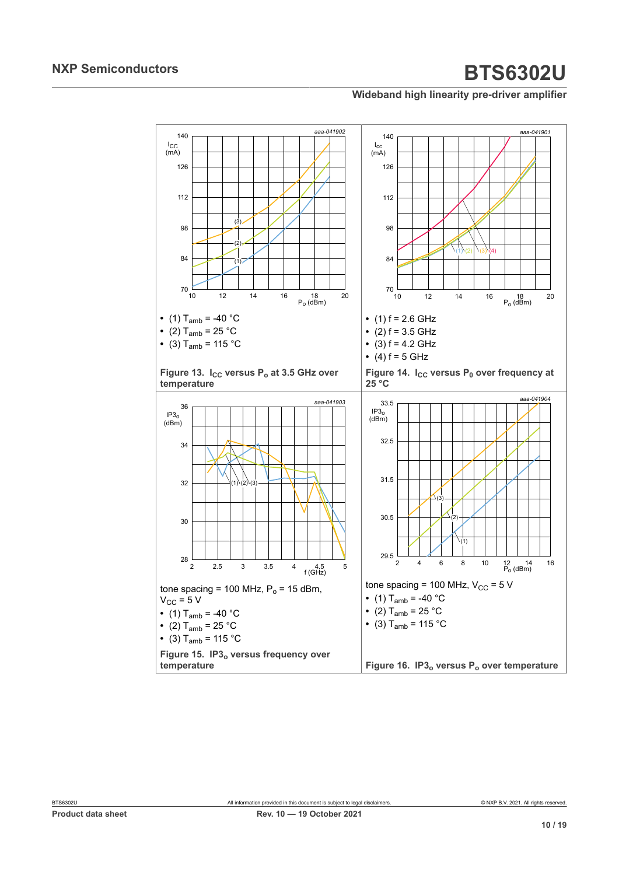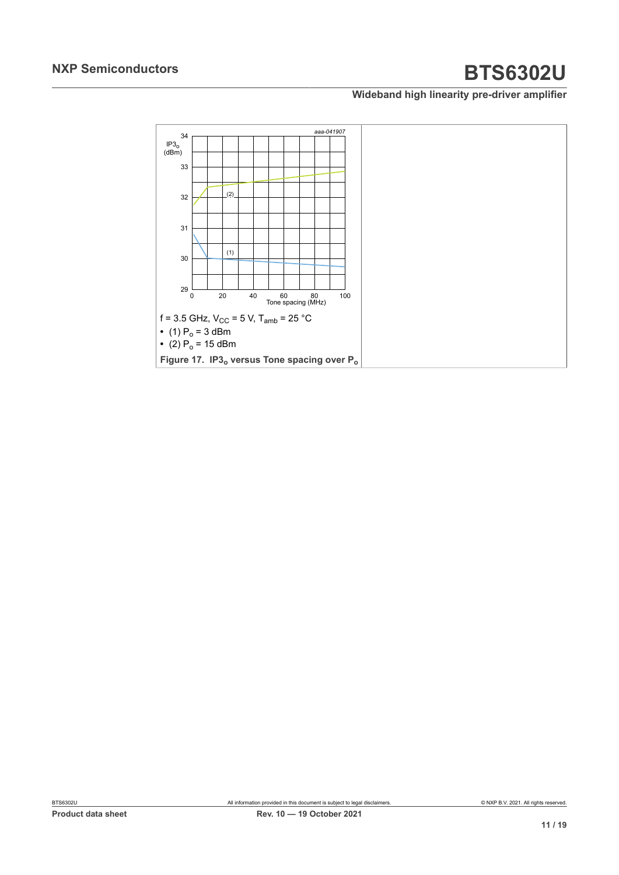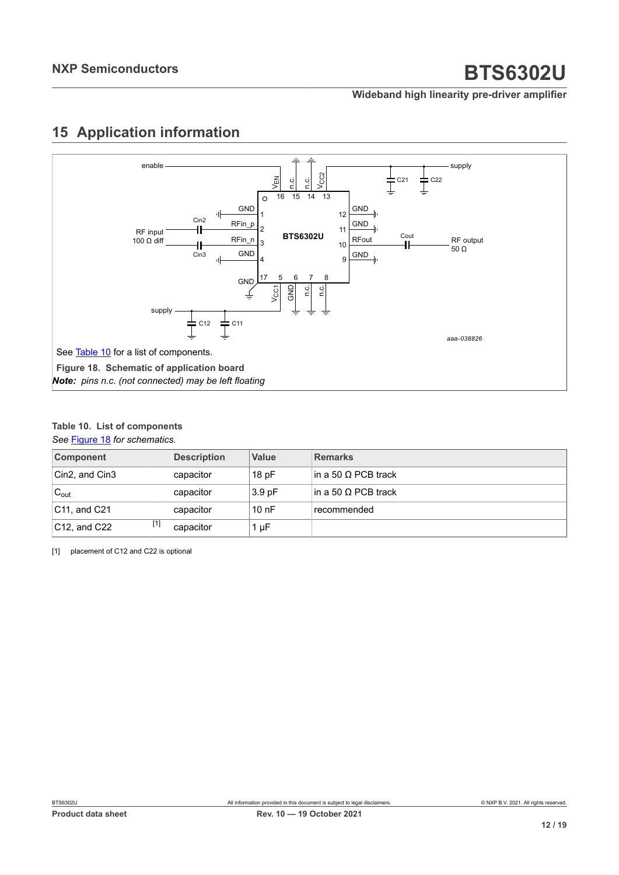## <span id="page-11-3"></span><span id="page-11-2"></span>**15 Application information**

<span id="page-11-1"></span>

### <span id="page-11-0"></span>**Table 10. List of components**

*See* [Figure 18](#page-11-1) *for schematics.*

| <b>Component</b>                           | <b>Description</b> | <b>Value</b>      | <b>Remarks</b>       |
|--------------------------------------------|--------------------|-------------------|----------------------|
| Cin2, and Cin3                             | capacitor          | 18pF              | lin a 50 Ω PCB track |
| ${}^{\shortmid }\mathsf{C}_{\mathsf{out}}$ | capacitor          | 3.9 <sub>pF</sub> | lin a 50 Ω PCB track |
| $ C11$ , and $C21$                         | capacitor          | 10nF              | recommended          |
| $[1]$<br>$ C12$ , and $C22$                | capacitor          | $1 \mu F$         |                      |

[1] placement of C12 and C22 is optional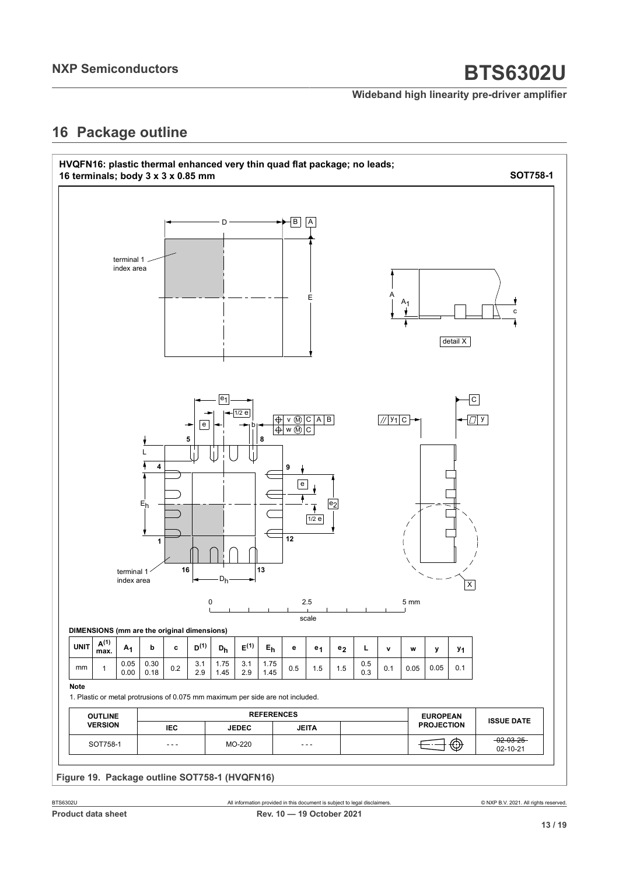### **Wideband high linearity pre-driver amplifier**

## <span id="page-12-0"></span>**16 Package outline**

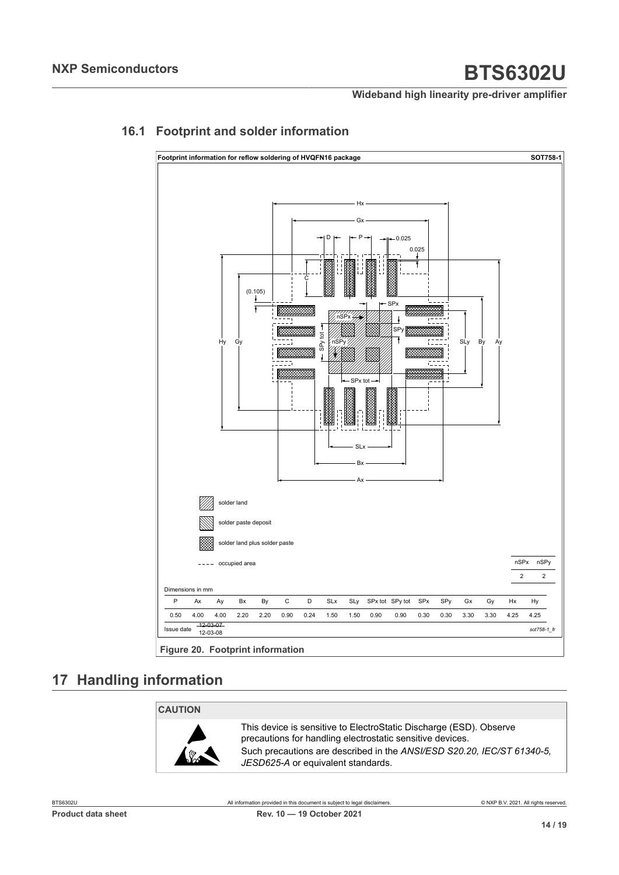<span id="page-13-0"></span>

### **16.1 Footprint and solder information**

**Figure 20. Footprint information**

## <span id="page-13-1"></span>**17 Handling information**

### **CAUTION**



This device is sensitive to ElectroStatic Discharge (ESD). Observe precautions for handling electrostatic sensitive devices. Such precautions are described in the *ANSI/ESD S20.20, IEC/ST 61340-5, JESD625-A* or equivalent standards.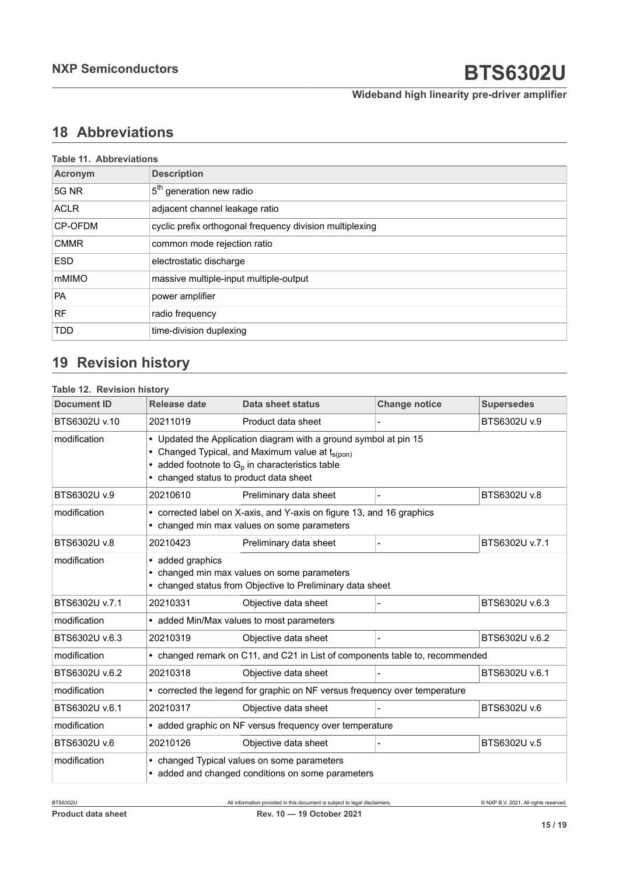**Wideband high linearity pre-driver amplifier**

## <span id="page-14-0"></span>**18 Abbreviations**

| <b>Table 11. Abbreviations</b> |                                                          |  |
|--------------------------------|----------------------------------------------------------|--|
| Acronym                        | <b>Description</b>                                       |  |
| 5G NR                          | 5 <sup>th</sup> generation new radio                     |  |
| <b>ACLR</b>                    | adjacent channel leakage ratio                           |  |
| <b>CP-OFDM</b>                 | cyclic prefix orthogonal frequency division multiplexing |  |
| <b>CMMR</b>                    | common mode rejection ratio                              |  |
| <b>ESD</b>                     | electrostatic discharge                                  |  |
| mMIMO                          | massive multiple-input multiple-output                   |  |
| <b>PA</b>                      | power amplifier                                          |  |
| <b>RF</b>                      | radio frequency                                          |  |
| <b>TDD</b>                     | time-division duplexing                                  |  |

## <span id="page-14-1"></span>**19 Revision history**

### **Table 12. Revision history**

| <b>Document ID</b> | Release date                                                                                                                                                                                                                  | Data sheet status      | <b>Change notice</b> | <b>Supersedes</b> |  |
|--------------------|-------------------------------------------------------------------------------------------------------------------------------------------------------------------------------------------------------------------------------|------------------------|----------------------|-------------------|--|
| BTS6302U v.10      | 20211019                                                                                                                                                                                                                      | Product data sheet     |                      | BTS6302U v.9      |  |
| modification       | • Updated the Application diagram with a ground symbol at pin 15<br>• Changed Typical, and Maximum value at t <sub>s(pon)</sub><br>added footnote to $G_p$ in characteristics table<br>• changed status to product data sheet |                        |                      |                   |  |
| BTS6302U v.9       | 20210610                                                                                                                                                                                                                      | Preliminary data sheet |                      | BTS6302U v.8      |  |
| modification       | • corrected label on X-axis, and Y-axis on figure 13, and 16 graphics<br>• changed min max values on some parameters                                                                                                          |                        |                      |                   |  |
| BTS6302U v.8       | 20210423                                                                                                                                                                                                                      | Preliminary data sheet |                      | BTS6302U v.7.1    |  |
| modification       | • added graphics<br>• changed min max values on some parameters<br>• changed status from Objective to Preliminary data sheet                                                                                                  |                        |                      |                   |  |
| BTS6302U v.7.1     | 20210331                                                                                                                                                                                                                      | Objective data sheet   |                      | BTS6302U v.6.3    |  |
| modification       | • added Min/Max values to most parameters                                                                                                                                                                                     |                        |                      |                   |  |
| BTS6302U v.6.3     | 20210319                                                                                                                                                                                                                      | Objective data sheet   |                      | BTS6302U v.6.2    |  |
| modification       | • changed remark on C11, and C21 in List of components table to, recommended                                                                                                                                                  |                        |                      |                   |  |
| BTS6302U v.6.2     | 20210318                                                                                                                                                                                                                      | Objective data sheet   |                      | BTS6302U v.6.1    |  |
| modification       | • corrected the legend for graphic on NF versus frequency over temperature                                                                                                                                                    |                        |                      |                   |  |
| BTS6302U v.6.1     | 20210317                                                                                                                                                                                                                      | Objective data sheet   |                      | BTS6302U v.6      |  |
| modification       | • added graphic on NF versus frequency over temperature                                                                                                                                                                       |                        |                      |                   |  |
| BTS6302U v.6       | 20210126                                                                                                                                                                                                                      | Objective data sheet   |                      | BTS6302U v.5      |  |
| modification       | • changed Typical values on some parameters<br>• added and changed conditions on some parameters                                                                                                                              |                        |                      |                   |  |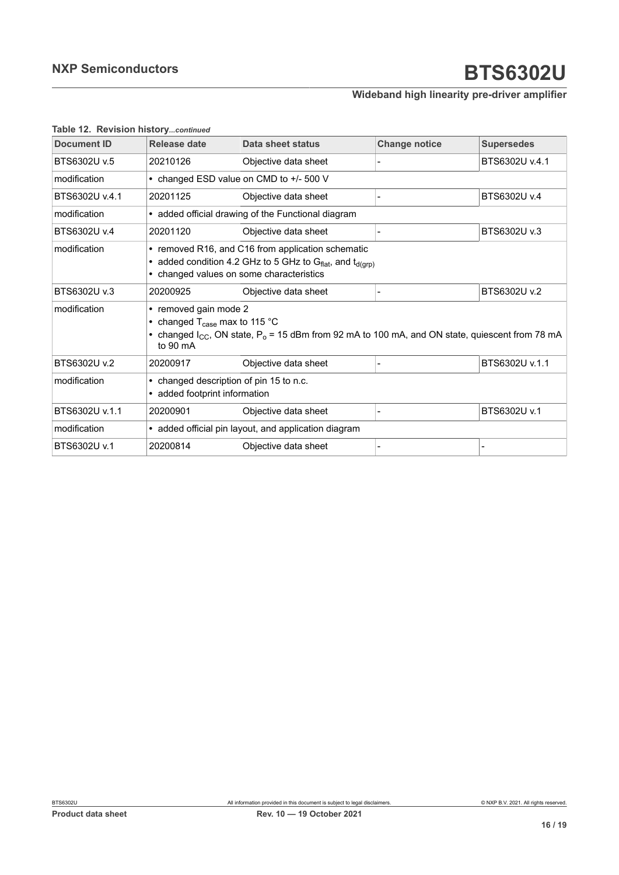### **Wideband high linearity pre-driver amplifier**

| <b>Document ID</b> | Release date                                                                                                                                                                                       | Data sheet status    | <b>Change notice</b> | <b>Supersedes</b> |  |
|--------------------|----------------------------------------------------------------------------------------------------------------------------------------------------------------------------------------------------|----------------------|----------------------|-------------------|--|
| BTS6302U v.5       | 20210126                                                                                                                                                                                           | Objective data sheet |                      | BTS6302U v.4.1    |  |
| modification       | • changed ESD value on CMD to +/- 500 V                                                                                                                                                            |                      |                      |                   |  |
| BTS6302U v.4.1     | 20201125                                                                                                                                                                                           | Objective data sheet |                      | BTS6302U v.4      |  |
| modification       | • added official drawing of the Functional diagram                                                                                                                                                 |                      |                      |                   |  |
| BTS6302U v.4       | 20201120                                                                                                                                                                                           | Objective data sheet |                      | BTS6302U v.3      |  |
| modification       | • removed R16, and C16 from application schematic<br>• added condition 4.2 GHz to 5 GHz to G $_{flat}$ , and $t_{d(qrp)}$<br>• changed values on some characteristics                              |                      |                      |                   |  |
| BTS6302U v.3       | 20200925                                                                                                                                                                                           | Objective data sheet |                      | BTS6302U v.2      |  |
| modification       | • removed gain mode 2<br>• changed $T_{\text{case}}$ max to 115 °C<br>• changed $I_{CC}$ , ON state, $P_0$ = 15 dBm from 92 mA to 100 mA, and ON state, quiescent from 78 mA<br>to $90 \text{ mA}$ |                      |                      |                   |  |
| BTS6302U v.2       | 20200917                                                                                                                                                                                           | Objective data sheet |                      | BTS6302U v.1.1    |  |
| modification       | • changed description of pin 15 to n.c.<br>• added footprint information                                                                                                                           |                      |                      |                   |  |
| BTS6302U v.1.1     | 20200901                                                                                                                                                                                           | Objective data sheet |                      | BTS6302U v.1      |  |
| modification       | • added official pin layout, and application diagram                                                                                                                                               |                      |                      |                   |  |
| BTS6302U v.1       | 20200814                                                                                                                                                                                           | Objective data sheet |                      |                   |  |

#### **Table 12. Revision history***...continued*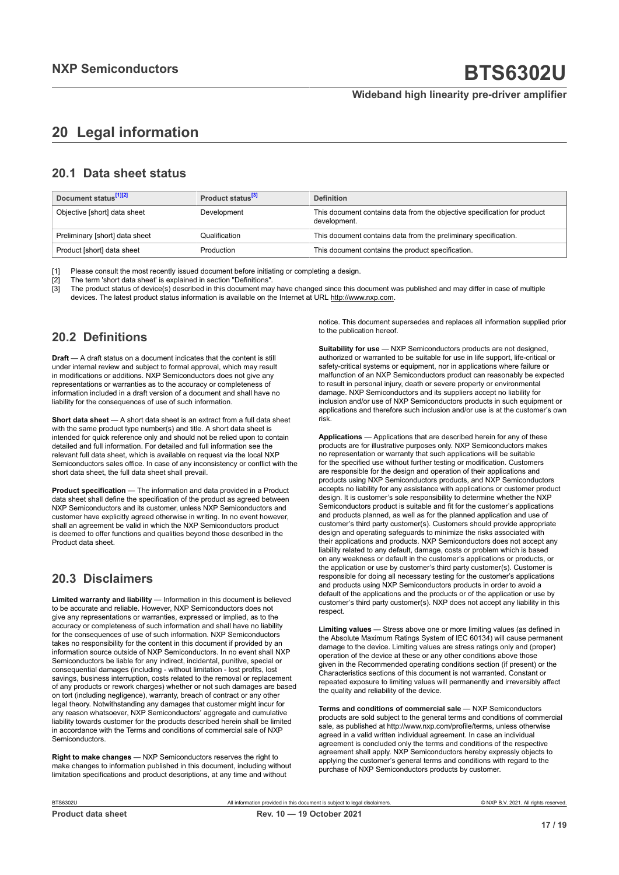## <span id="page-16-0"></span>**20 Legal information**

### **20.1 Data sheet status**

| Document status <sup>[1][2]</sup> | Product status <sup>[3]</sup> | <b>Definition</b>                                                                        |
|-----------------------------------|-------------------------------|------------------------------------------------------------------------------------------|
| Objective [short] data sheet      | Development                   | This document contains data from the objective specification for product<br>development. |
| Preliminary [short] data sheet    | Qualification                 | This document contains data from the preliminary specification.                          |
| Product [short] data sheet        | Production                    | This document contains the product specification.                                        |

[1] Please consult the most recently issued document before initiating or completing a design.<br>[2] The term 'short data sheet' is explained in section "Definitions".

t :<br>[2] The term 'short data sheet' is explained in section "Definitions".<br>[3] The product status of device(s) described in this document may

The product status of device(s) described in this document may have changed since this document was published and may differ in case of multiple devices. The latest product status information is available on the Internet at URL http://www.nxp.com.

### **20.2 Definitions**

**Draft** — A draft status on a document indicates that the content is still under internal review and subject to formal approval, which may result in modifications or additions. NXP Semiconductors does not give any representations or warranties as to the accuracy or completeness of information included in a draft version of a document and shall have no liability for the consequences of use of such information.

**Short data sheet** — A short data sheet is an extract from a full data sheet with the same product type number(s) and title. A short data sheet is intended for quick reference only and should not be relied upon to contain detailed and full information. For detailed and full information see the relevant full data sheet, which is available on request via the local NXP Semiconductors sales office. In case of any inconsistency or conflict with the short data sheet, the full data sheet shall prevail.

**Product specification** — The information and data provided in a Product data sheet shall define the specification of the product as agreed between NXP Semiconductors and its customer, unless NXP Semiconductors and customer have explicitly agreed otherwise in writing. In no event however, shall an agreement be valid in which the NXP Semiconductors product is deemed to offer functions and qualities beyond those described in the Product data sheet.

### **20.3 Disclaimers**

**Limited warranty and liability** — Information in this document is believed to be accurate and reliable. However, NXP Semiconductors does not give any representations or warranties, expressed or implied, as to the accuracy or completeness of such information and shall have no liability for the consequences of use of such information. NXP Semiconductors takes no responsibility for the content in this document if provided by an information source outside of NXP Semiconductors. In no event shall NXP Semiconductors be liable for any indirect, incidental, punitive, special or consequential damages (including - without limitation - lost profits, lost savings, business interruption, costs related to the removal or replacement of any products or rework charges) whether or not such damages are based on tort (including negligence), warranty, breach of contract or any other legal theory. Notwithstanding any damages that customer might incur for any reason whatsoever, NXP Semiconductors' aggregate and cumulative liability towards customer for the products described herein shall be limited in accordance with the Terms and conditions of commercial sale of NXP **Semiconductors** 

**Right to make changes** — NXP Semiconductors reserves the right to make changes to information published in this document, including without limitation specifications and product descriptions, at any time and without

notice. This document supersedes and replaces all information supplied prior to the publication hereof.

**Suitability for use** — NXP Semiconductors products are not designed, authorized or warranted to be suitable for use in life support, life-critical or safety-critical systems or equipment, nor in applications where failure or malfunction of an NXP Semiconductors product can reasonably be expected to result in personal injury, death or severe property or environmental damage. NXP Semiconductors and its suppliers accept no liability for inclusion and/or use of NXP Semiconductors products in such equipment or applications and therefore such inclusion and/or use is at the customer's own risk.

**Applications** — Applications that are described herein for any of these products are for illustrative purposes only. NXP Semiconductors makes no representation or warranty that such applications will be suitable for the specified use without further testing or modification. Customers are responsible for the design and operation of their applications and products using NXP Semiconductors products, and NXP Semiconductors accepts no liability for any assistance with applications or customer product design. It is customer's sole responsibility to determine whether the NXP Semiconductors product is suitable and fit for the customer's applications and products planned, as well as for the planned application and use of customer's third party customer(s). Customers should provide appropriate design and operating safeguards to minimize the risks associated with their applications and products. NXP Semiconductors does not accept any liability related to any default, damage, costs or problem which is based on any weakness or default in the customer's applications or products, or the application or use by customer's third party customer(s). Customer is responsible for doing all necessary testing for the customer's applications and products using NXP Semiconductors products in order to avoid a default of the applications and the products or of the application or use by customer's third party customer(s). NXP does not accept any liability in this respect.

**Limiting values** — Stress above one or more limiting values (as defined in the Absolute Maximum Ratings System of IEC 60134) will cause permanent damage to the device. Limiting values are stress ratings only and (proper) operation of the device at these or any other conditions above those given in the Recommended operating conditions section (if present) or the Characteristics sections of this document is not warranted. Constant or repeated exposure to limiting values will permanently and irreversibly affect the quality and reliability of the device.

**Terms and conditions of commercial sale** — NXP Semiconductors products are sold subject to the general terms and conditions of commercial sale, as published at http://www.nxp.com/profile/terms, unless otherwise agreed in a valid written individual agreement. In case an individual agreement is concluded only the terms and conditions of the respective agreement shall apply. NXP Semiconductors hereby expressly objects to applying the customer's general terms and conditions with regard to the purchase of NXP Semiconductors products by customer.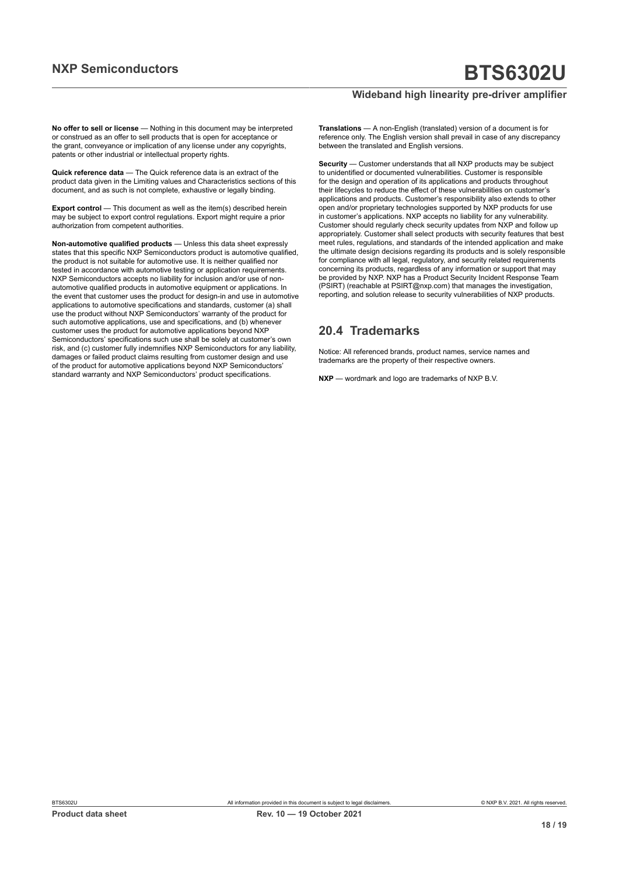### **Wideband high linearity pre-driver amplifier**

**No offer to sell or license** — Nothing in this document may be interpreted or construed as an offer to sell products that is open for acceptance or the grant, conveyance or implication of any license under any copyrights, patents or other industrial or intellectual property rights.

**Quick reference data** — The Quick reference data is an extract of the product data given in the Limiting values and Characteristics sections of this document, and as such is not complete, exhaustive or legally binding.

**Export control** — This document as well as the item(s) described herein may be subject to export control regulations. Export might require a prior authorization from competent authorities.

**Non-automotive qualified products** — Unless this data sheet expressly states that this specific NXP Semiconductors product is automotive qualified, the product is not suitable for automotive use. It is neither qualified nor tested in accordance with automotive testing or application requirements. NXP Semiconductors accepts no liability for inclusion and/or use of nonautomotive qualified products in automotive equipment or applications. In the event that customer uses the product for design-in and use in automotive applications to automotive specifications and standards, customer (a) shall use the product without NXP Semiconductors' warranty of the product for such automotive applications, use and specifications, and (b) whenever customer uses the product for automotive applications beyond NXP Semiconductors' specifications such use shall be solely at customer's own risk, and (c) customer fully indemnifies NXP Semiconductors for any liability, damages or failed product claims resulting from customer design and use of the product for automotive applications beyond NXP Semiconductors' standard warranty and NXP Semiconductors' product specifications.

**Translations** — A non-English (translated) version of a document is for reference only. The English version shall prevail in case of any discrepancy between the translated and English versions.

**Security** — Customer understands that all NXP products may be subject to unidentified or documented vulnerabilities. Customer is responsible for the design and operation of its applications and products throughout their lifecycles to reduce the effect of these vulnerabilities on customer's applications and products. Customer's responsibility also extends to other open and/or proprietary technologies supported by NXP products for use in customer's applications. NXP accepts no liability for any vulnerability. Customer should regularly check security updates from NXP and follow up appropriately. Customer shall select products with security features that best meet rules, regulations, and standards of the intended application and make the ultimate design decisions regarding its products and is solely responsible for compliance with all legal, regulatory, and security related requirements concerning its products, regardless of any information or support that may be provided by NXP. NXP has a Product Security Incident Response Team (PSIRT) (reachable at PSIRT@nxp.com) that manages the investigation, reporting, and solution release to security vulnerabilities of NXP products.

### **20.4 Trademarks**

Notice: All referenced brands, product names, service names and trademarks are the property of their respective owners.

**NXP** — wordmark and logo are trademarks of NXP B.V.